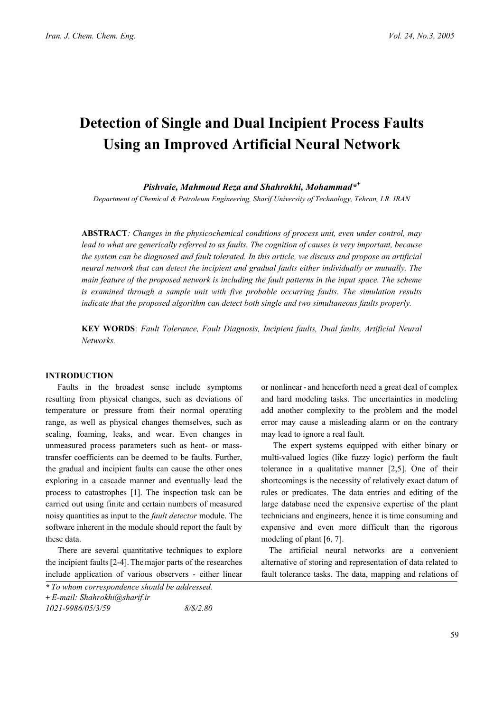# **Detection of Single and Dual Incipient Process Faults Using an Improved Artificial Neural Network**

*Pishvaie, Mahmoud Reza and Shahrokhi, Mohammad\*+*

*Department of Chemical & Petroleum Engineering, Sharif University of Technology, Tehran, I.R. IRAN*

**ABSTRACT***: Changes in the physicochemical conditions of process unit, even under control, may lead to what are generically referred to as faults. The cognition of causes is very important, because the system can be diagnosed and fault tolerated. In this article, we discuss and propose an artificial neural network that can detect the incipient and gradual faults either individually or mutually. The main feature of the proposed network is including the fault patterns in the input space. The scheme is examined through a sample unit with five probable occurring faults. The simulation results indicate that the proposed algorithm can detect both single and two simultaneous faults properly.* 

**KEY WORDS**: *Fault Tolerance, Fault Diagnosis, Incipient faults, Dual faults, Artificial Neural Networks.* 

## **INTRODUCTION**

Faults in the broadest sense include symptoms resulting from physical changes, such as deviations of temperature or pressure from their normal operating range, as well as physical changes themselves, such as scaling, foaming, leaks, and wear. Even changes in unmeasured process parameters such as heat- or masstransfer coefficients can be deemed to be faults. Further, the gradual and incipient faults can cause the other ones exploring in a cascade manner and eventually lead the process to catastrophes [1]. The inspection task can be carried out using finite and certain numbers of measured noisy quantities as input to the *fault detector* module. The software inherent in the module should report the fault by these data.

There are several quantitative techniques to explore the incipient faults[2-4]. Themajor parts of the researches include application of various observers - either linear or nonlinear- and henceforth need a great deal of complex and hard modeling tasks. The uncertainties in modeling add another complexity to the problem and the model error may cause a misleading alarm or on the contrary may lead to ignore a real fault.

The expert systems equipped with either binary or multi-valued logics (like fuzzy logic) perform the fault tolerance in a qualitative manner [2,5]. One of their shortcomings is the necessity of relatively exact datum of rules or predicates. The data entries and editing of the large database need the expensive expertise of the plant technicians and engineers, hence it is time consuming and expensive and even more difficult than the rigorous modeling of plant [6, 7].

The artificial neural networks are a convenient alternative of storing and representation of data related to fault tolerance tasks. The data, mapping and relations of

*<sup>\*</sup> To whom correspondence should be addressed.* 

*<sup>+</sup> E-mail: Shahrokhi@sharif.ir* 

*<sup>1021-9986/05/3/59 8/\$/2.80</sup>*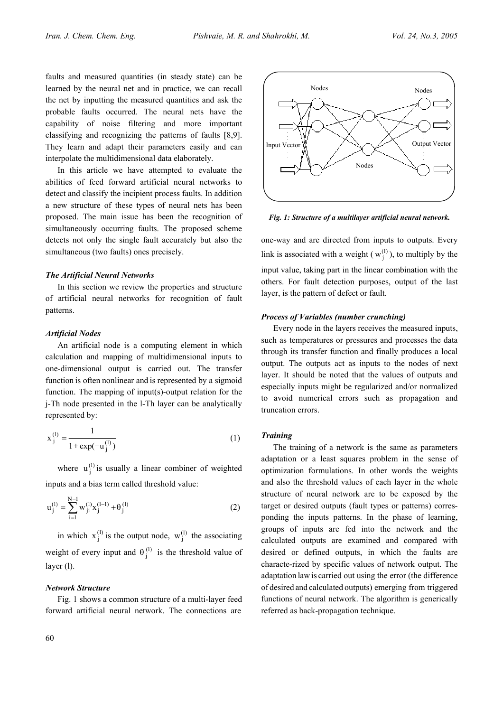faults and measured quantities (in steady state) can be learned by the neural net and in practice, we can recall the net by inputting the measured quantities and ask the probable faults occurred. The neural nets have the capability of noise filtering and more important classifying and recognizing the patterns of faults [8,9]. They learn and adapt their parameters easily and can interpolate the multidimensional data elaborately.

In this article we have attempted to evaluate the abilities of feed forward artificial neural networks to detect and classify the incipient process faults. In addition a new structure of these types of neural nets has been proposed. The main issue has been the recognition of simultaneously occurring faults. The proposed scheme detects not only the single fault accurately but also the simultaneous (two faults) ones precisely.

# *The Artificial Neural Networks*

In this section we review the properties and structure of artificial neural networks for recognition of fault patterns.

## *Artificial Nodes*

An artificial node is a computing element in which calculation and mapping of multidimensional inputs to one-dimensional output is carried out. The transfer function is often nonlinear and is represented by a sigmoid function. The mapping of input(s)-output relation for the j-Th node presented in the l-Th layer can be analytically represented by:

$$
x_j^{(l)} = \frac{1}{1 + \exp(-u_j^{(l)})}
$$
 (1)

where  $u_j^{(l)}$  is usually a linear combiner of weighted inputs and a bias term called threshold value:

$$
u_j^{(l)} = \sum_{i=1}^{N-l} w_{ji}^{(l)} x_j^{(l-1)} + \theta_j^{(l)}
$$
 (2)

in which  $x_j^{(l)}$  is the output node,  $w_j^{(l)}$  the associating weight of every input and  $\theta_j^{(l)}$  is the threshold value of layer (l).

## *Network Structure*

Fig. 1 shows a common structure of a multi-layer feed forward artificial neural network. The connections are



*Fig. 1: Structure of a multilayer artificial neural network.*

one-way and are directed from inputs to outputs. Every link is associated with a weight  $(w_i^{(l)})$ , to multiply by the input value, taking part in the linear combination with the others. For fault detection purposes, output of the last layer, is the pattern of defect or fault.

# *Process of Variables (number crunching)*

Every node in the layers receives the measured inputs, such as temperatures or pressures and processes the data through its transfer function and finally produces a local output. The outputs act as inputs to the nodes of next layer. It should be noted that the values of outputs and especially inputs might be regularized and/or normalized to avoid numerical errors such as propagation and truncation errors.

#### *Training*

The training of a network is the same as parameters adaptation or a least squares problem in the sense of optimization formulations. In other words the weights and also the threshold values of each layer in the whole structure of neural network are to be exposed by the target or desired outputs (fault types or patterns) corresponding the inputs patterns. In the phase of learning, groups of inputs are fed into the network and the calculated outputs are examined and compared with desired or defined outputs, in which the faults are characte-rized by specific values of network output. The adaptation law is carried out using the error (the difference of desired and calculated outputs) emerging from triggered functions of neural network. The algorithm is generically referred as back-propagation technique.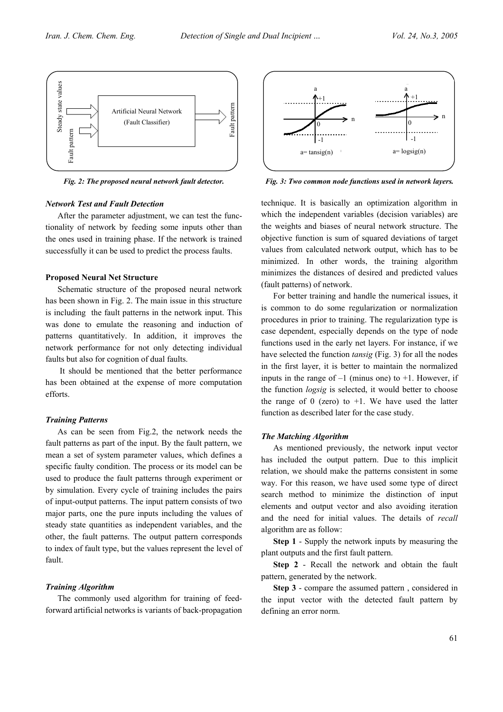

*Fig. 2: The proposed neural network fault detector.*

## *Network Test and Fault Detection*

After the parameter adjustment, we can test the functionality of network by feeding some inputs other than the ones used in training phase. If the network is trained successfully it can be used to predict the process faults.

## **Proposed Neural Net Structure**

Schematic structure of the proposed neural network has been shown in Fig. 2. The main issue in this structure is including the fault patterns in the network input. This was done to emulate the reasoning and induction of patterns quantitatively. In addition, it improves the network performance for not only detecting individual faults but also for cognition of dual faults.

 It should be mentioned that the better performance has been obtained at the expense of more computation efforts.

# *Training Patterns*

As can be seen from Fig.2, the network needs the fault patterns as part of the input. By the fault pattern, we mean a set of system parameter values, which defines a specific faulty condition. The process or its model can be used to produce the fault patterns through experiment or by simulation. Every cycle of training includes the pairs of input-output patterns. The input pattern consists of two major parts, one the pure inputs including the values of steady state quantities as independent variables, and the other, the fault patterns. The output pattern corresponds to index of fault type, but the values represent the level of fault.

# *Training Algorithm*

The commonly used algorithm for training of feedforward artificial networks is variants of back-propagation



*Fig. 3: Two common node functions used in network layers.*

technique. It is basically an optimization algorithm in which the independent variables (decision variables) are the weights and biases of neural network structure. The objective function is sum of squared deviations of target values from calculated network output, which has to be minimized. In other words, the training algorithm minimizes the distances of desired and predicted values (fault patterns) of network.

For better training and handle the numerical issues, it is common to do some regularization or normalization procedures in prior to training. The regularization type is case dependent, especially depends on the type of node functions used in the early net layers. For instance, if we have selected the function *tansig* (Fig. 3) for all the nodes in the first layer, it is better to maintain the normalized inputs in the range of  $-1$  (minus one) to  $+1$ . However, if the function *logsig* is selected, it would better to choose the range of 0 (zero) to  $+1$ . We have used the latter function as described later for the case study.

## *The Matching Algorithm*

As mentioned previously, the network input vector has included the output pattern. Due to this implicit relation, we should make the patterns consistent in some way. For this reason, we have used some type of direct search method to minimize the distinction of input elements and output vector and also avoiding iteration and the need for initial values. The details of *recall* algorithm are as follow:

**Step 1** - Supply the network inputs by measuring the plant outputs and the first fault pattern.

**Step 2** - Recall the network and obtain the fault pattern, generated by the network.

**Step 3** - compare the assumed pattern , considered in the input vector with the detected fault pattern by defining an error norm.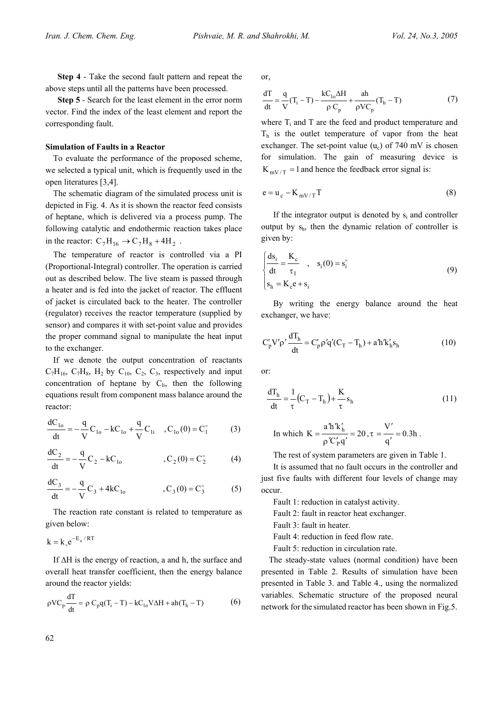**Step 4** - Take the second fault pattern and repeat the above steps until all the patterns have been processed.

**Step 5** - Search for the least element in the error norm vector. Find the index of the least element and report the corresponding fault.

## **Simulation of Faults in a Reactor**

To evaluate the performance of the proposed scheme, we selected a typical unit, which is frequently used in the open literatures [3,4].

The schematic diagram of the simulated process unit is depicted in Fig. 4. As it is shown the reactor feed consists of heptane, which is delivered via a process pump. The following catalytic and endothermic reaction takes place in the reactor:  $C_7H_{16} \rightarrow C_7H_8 + 4H_2$ .

The temperature of reactor is controlled via a PI (Proportional-Integral) controller. The operation is carried out as described below. The live steam is passed through a heater and is fed into the jacket of reactor. The effluent of jacket is circulated back to the heater. The controller (regulator) receives the reactor temperature (supplied by sensor) and compares it with set-point value and provides the proper command signal to manipulate the heat input to the exchanger.

If we denote the output concentration of reactants  $C_7H_{16}$ ,  $C_7H_8$ ,  $H_2$  by  $C_{10}$ ,  $C_2$ ,  $C_3$ , respectively and input concentration of heptane by  $C_{li}$ , then the following equations result from component mass balance around the reactor:

$$
\frac{dC_{10}}{dt} = -\frac{q}{V}C_{10} - kC_{10} + \frac{q}{V}C_{1i} , C_{10}(0) = C_1^{\circ}
$$
 (3)

$$
\frac{dC_2}{dt} = -\frac{q}{V}C_2 - kC_{10}
$$
, C<sub>2</sub>(0) = C<sub>2</sub><sup>o</sup> (4)

$$
\frac{dC_3}{dt} = -\frac{q}{V}C_3 + 4kC_{10}
$$
, C<sub>3</sub>(0) = C<sub>3</sub><sup>°</sup> (5)

The reaction rate constant is related to temperature as given below:

$$
k = k_{\circ} e^{-E_a / RT}
$$

If ∆H is the energy of reaction, a and h, the surface and overall heat transfer coefficient, then the energy balance around the reactor yields:

$$
\rho V C_p \frac{dT}{dt} = \rho C_p q (T_i - T) - k C_{1o} V \Delta H + a h (T_h - T) \tag{6}
$$

or,

$$
\frac{dT}{dt} = \frac{q}{V}(T_i - T) - \frac{kC_{10}\Delta H}{\rho C_p} + \frac{ah}{\rho VC_p}(T_h - T)
$$
(7)

where  $T_i$  and  $T$  are the feed and product temperature and  $T<sub>h</sub>$  is the outlet temperature of vapor from the heat exchanger. The set-point value  $(u_c)$  of 740 mV is chosen for simulation. The gain of measuring device is  $K_{mV/T} = 1$  and hence the feedback error signal is:

$$
e = u_c - K_{mV/T}T
$$
 (8)

If the integrator output is denoted by  $s_i$  and controller output by  $s_h$ , then the dynamic relation of controller is given by:

$$
\begin{cases}\n\frac{ds_i}{dt} = \frac{K_c}{\tau_1} , & s_i(0) = s_i^{\circ} \\
s_h = K_c e + s_i\n\end{cases}
$$
\n(9)

By writing the energy balance around the heat exchanger, we have:

$$
C'_{p}V'p'\frac{dT_{h}}{dt}=C'_{p}\rho'q'(C_{T}-T_{h})+a'h'k'_{h}s_{h}
$$
\n(10)

or:

$$
\frac{dT_h}{dt} = \frac{1}{\tau} \left( C_T - T_h \right) + \frac{K}{\tau} s_h \tag{11}
$$

In which 
$$
K = \frac{a'h'k'_h}{\rho'C'_pq'} = 20
$$
,  $\tau = \frac{V'}{q'} = 0.3h$ .

The rest of system parameters are given in Table 1.

It is assumed that no fault occurs in the controller and just five faults with different four levels of change may occur.

Fault 1: reduction in catalyst activity.

Fault 2: fault in reactor heat exchanger.

Fault 3: fault in heater.

Fault 4: reduction in feed flow rate.

Fault 5: reduction in circulation rate.

The steady-state values (normal condition) have been presented in Table 2. Results of simulation have been presented in Table 3. and Table 4., using the normalized variables. Schematic structure of the proposed neural network for the simulated reactor has been shown in Fig.5.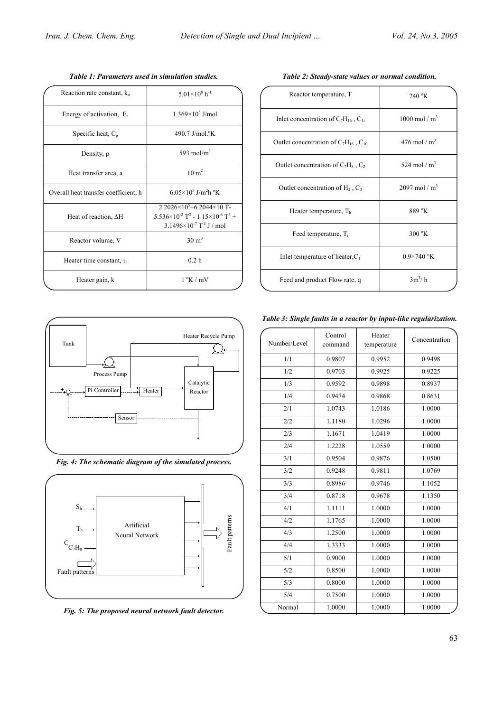| Reaction rate constant, $k_0$        | $5.01\times10^{8}$ h <sup>-1</sup>                                                                                                                                    |
|--------------------------------------|-----------------------------------------------------------------------------------------------------------------------------------------------------------------------|
| Energy of activation, $E_a$          | $1.369\times10^5$ J/mol                                                                                                                                               |
| Specific heat, $C_p$                 | 490.7 J/mol. <sup>o</sup> K                                                                                                                                           |
| Density, $\rho$                      | 593 mol/ $m3$                                                                                                                                                         |
| Heat transfer area, a                | $10 \text{ m}^2$                                                                                                                                                      |
| Overall heat transfer coefficient, h | $6.05\times10^{5}$ J/m <sup>2</sup> h <sup>o</sup> K                                                                                                                  |
| Heat of reaction, $\Delta H$         | $2.2026\times10^{5}+6.2044\times10$ T-<br>$5.536\times10^{-2}$ T <sup>2</sup> - 1.15 $\times10^{-6}$ T <sup>3</sup> +<br>$3.1496 \times 10^{-7}$ T <sup>4</sup> J/mol |
| Reactor volume, V                    | $30 \text{ m}^3$                                                                                                                                                      |
| Heater time constant, $\tau_1$       | 0.2 <sub>h</sub>                                                                                                                                                      |
| Heater gain, k                       | $1 \, {}^{\circ}\mathrm{K}$ / mV                                                                                                                                      |

*Table 1: Parameters used in simulation studies.* 

| Reactor temperature, T                         | 740 °K                          |
|------------------------------------------------|---------------------------------|
| Inlet concentration of $C_7H_{16}$ , $C_{1i}$  | 1000 mol / $m^3$                |
| Outlet concentration of $C_7H_{16}$ , $C_{10}$ | 476 mol / $m^3$                 |
| Outlet concentration of $C_7H_8$ , $C_2$       | 524 mol / $m^3$                 |
| Outlet concentration of $H_2$ , $C_3$          | $2097 \text{ mol} / \text{m}^3$ |
| Heater temperature, $Th$                       | 889 °K                          |
| Feed temperature, T <sub>i</sub>               | $300 \text{°K}$                 |
| Inlet temperature of heater, $C_T$             | $0.9\times740$ °K               |
| Feed and product Flow rate, q                  | $3m^3/h$                        |
|                                                |                                 |

*Table 2: Steady-state values or normal condition.* 



| Heater Recycle Pump                    | Number/Level | Control<br>command | t |
|----------------------------------------|--------------|--------------------|---|
|                                        | 1/1          | 0.9807             |   |
| Pump                                   | 1/2          | 0.9703             |   |
| Catalytic                              | 1/3          | 0.9592             |   |
| Heater<br>er<br>Reactor                | 1/4          | 0.9474             |   |
|                                        | 2/1          | 1.0743             |   |
| Sensor                                 | 2/2          | 1.1180             |   |
|                                        | 2/3          | 1.1671             |   |
|                                        | 2/4          | 1.2228             |   |
| atic diagram of the simulated process. | 3/1          | 0.9504             |   |
|                                        | 3/2          | 0.9248             |   |
|                                        | 3/3          | 0.8986             |   |
|                                        | 3/4          | 0.8718             |   |
|                                        | 4/1          | 1.1111             |   |
| Artificial                             | 4/2          | 1.1765             |   |
| Neural Network                         | 4/3          | 1.2500             |   |
| Fault patterns                         | 4/4          | 1.3333             |   |
|                                        |              |                    |   |

*Fig. 4: The schematic diagram bigs. 4:* 

Process Pump

2

PI Controller

Tank

 $S_h$ 

Th

 $\text{C}_{\text{C}_7\text{H}_8}$ 

Fault patterns

 $\Box$ 

*Fig. 5: The proposed neural network fault detector.* 

| Number/Level     | Control<br>command | Heater<br>temperature | Concentration |
|------------------|--------------------|-----------------------|---------------|
| 1/1              | 0.9807             | 0.9952                | 0.9498        |
| 1/2              | 0.9703             | 0.9925                | 0.9225        |
| 1/3              | 0.9592             | 0.9898                | 0.8937        |
| 1/4              | 0.9474             | 0.9868                | 0.8631        |
| 2/1              | 1.0743             | 1.0186                | 1.0000        |
| 2/2              | 1.1180             | 1.0296                | 1.0000        |
| 2/3              | 1.1671             | 1.0419                | 1.0000        |
| 2/4              | 1.2228             | 1.0559                | 1.0000        |
| 3/1              | 0.9504             | 0.9876                | 1.0500        |
| 3/2              | 0.9248             |                       | 1.0769        |
| 3/3              | 0.8986             |                       | 1.1052        |
| 3/4              | 0.8718             | 0.9678                |               |
| 4/1              | 1.1111             | 1.0000                | 1.0000        |
| 4/2              | 1.1765             | 1.0000                | 1.0000        |
| 4/3              | 1.2500             | 1.0000                | 1.0000        |
| 4/4              | 1.3333             | 1.0000                | 1.0000        |
| 5/1              | 0.9000             | 1.0000                | 1.0000        |
| 5/2              | 0.8500             | 1.0000                | 1.0000        |
| 5/3              | 0.8000             | 1.0000                | 1.0000        |
| 5/4              | 0.7500             | 1.0000                | 1.0000        |
| Normal<br>1.0000 |                    | 1.0000                | 1.0000        |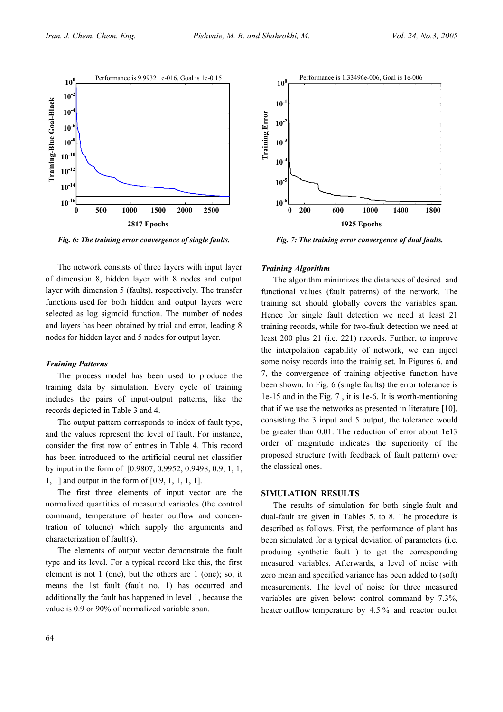

*Fig. 6: The training error convergence of single faults.*

The network consists of three layers with input layer of dimension 8, hidden layer with 8 nodes and output layer with dimension 5 (faults), respectively. The transfer functions used for both hidden and output layers were selected as log sigmoid function. The number of nodes and layers has been obtained by trial and error, leading 8 nodes for hidden layer and 5 nodes for output layer.

## *Training Patterns*

The process model has been used to produce the training data by simulation. Every cycle of training includes the pairs of input-output patterns, like the records depicted in Table 3 and 4.

The output pattern corresponds to index of fault type, and the values represent the level of fault. For instance, consider the first row of entries in Table 4. This record has been introduced to the artificial neural net classifier by input in the form of [0.9807, 0.9952, 0.9498, 0.9, 1, 1, 1, 1] and output in the form of [0.9, 1, 1, 1, 1].

The first three elements of input vector are the normalized quantities of measured variables (the control command, temperature of heater outflow and concentration of toluene) which supply the arguments and characterization of fault(s).

The elements of output vector demonstrate the fault type and its level. For a typical record like this, the first element is not 1 (one), but the others are 1 (one); so, it means the  $1st$  fault (fault no. 1) has occurred and additionally the fault has happened in level 1, because the value is 0.9 or 90% of normalized variable span.



*Fig. 7: The training error convergence of dual faults.*

## *Training Algorithm*

The algorithm minimizes the distances of desired and functional values (fault patterns) of the network. The training set should globally covers the variables span. Hence for single fault detection we need at least 21 training records, while for two-fault detection we need at least 200 plus 21 (i.e. 221) records. Further, to improve the interpolation capability of network, we can inject some noisy records into the trainig set. In Figures 6. and 7, the convergence of training objective function have been shown. In Fig. 6 (single faults) the error tolerance is 1e-15 and in the Fig. 7 , it is 1e-6. It is worth-mentioning that if we use the networks as presented in literature [10], consisting the 3 input and 5 output, the tolerance would be greater than 0.01. The reduction of error about 1e13 order of magnitude indicates the superiority of the proposed structure (with feedback of fault pattern) over the classical ones.

# **SIMULATION RESULTS**

The results of simulation for both single-fault and dual-fault are given in Tables 5. to 8. The procedure is described as follows. First, the performance of plant has been simulated for a typical deviation of parameters (i.e. produing synthetic fault ) to get the corresponding measured variables. Afterwards, a level of noise with zero mean and specified variance has been added to (soft) measurements. The level of noise for three measured variables are given below: control command by 7.3%, heater outflow temperature by 4.5 % and reactor outlet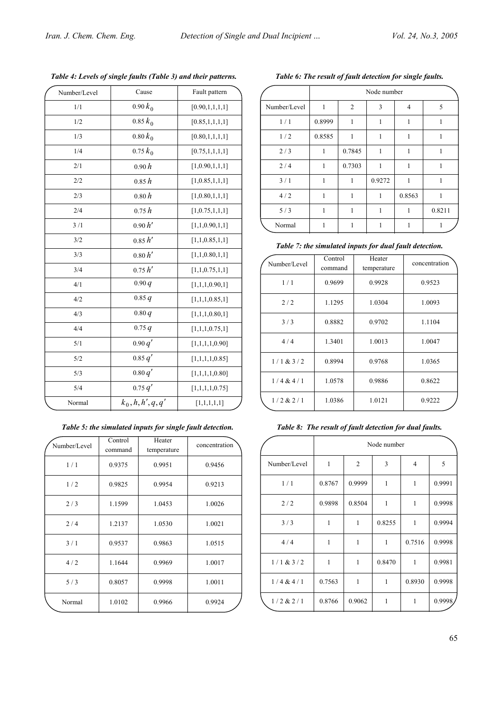| Number/Level | Cause                           | Fault pattern      |
|--------------|---------------------------------|--------------------|
| 1/1          | $0.90 k_0$                      | [0.90, 1, 1, 1, 1] |
| 1/2          | $0.85 k_0$                      | [0.85, 1, 1, 1, 1] |
| 1/3          | $0.80 k_0$                      | [0.80, 1, 1, 1, 1] |
| 1/4          | $0.75 k_0$                      | [0.75, 1, 1, 1, 1] |
| 2/1          | 0.90h                           | [1,0.90,1,1,1]     |
| 2/2          | 0.85h                           | [1,0.85,1,1,1]     |
| 2/3          | 0.80h                           | [1,0.80,1,1,1]     |
| 2/4          | 0.75h                           | [1, 0.75, 1, 1, 1] |
| 3/1          | 0.90 h'                         | [1,1,0.90,1,1]     |
| 3/2          | 0.85 h'                         | [1,1,0.85,1,1]     |
| 3/3          | 0.80 h'                         | [1,1,0.80,1,1]     |
| 3/4          | 0.75 h'                         | [1,1,0.75,1,1]     |
| 4/1          | 0.90q                           | [1,1,1,0.90,1]     |
| 4/2          | 0.85q                           | [1,1,1,0.85,1]     |
| 4/3          | 0.80q                           | [1,1,1,0.80,1]     |
| 4/4          | 0.75 q                          | [1,1,1,0.75,1]     |
| 5/1          | 0.90 q'                         | [1,1,1,1,0.90]     |
| 5/2          | 0.85 q'                         | [1,1,1,1,0.85]     |
| 5/3          | 0.80 q'                         | [1,1,1,1,0.80]     |
| 5/4          | 0.75 q'                         | [1,1,1,1,0.75]     |
| Normal       | $k_0$ , $h$ , $h'$ , $q$ , $q'$ | [1,1,1,1,1]        |

*Table 4: Levels of single faults (Table 3) and their patterns.* 

*Table 5: the simulated inputs for single fault detection.* 

| Number/Level | Control<br>Heater<br>command<br>temperature |        | concentration |  |
|--------------|---------------------------------------------|--------|---------------|--|
| 1/1          | 0.9375<br>0.9951                            |        | 0.9456        |  |
| 1/2          | 0.9825                                      | 0.9954 | 0.9213        |  |
| 2/3          | 1.1599<br>1.0453                            |        | 1.0026        |  |
| 2/4          | 1.2137                                      | 1.0530 | 1.0021        |  |
| 3/1          | 0.9537                                      | 0.9863 | 1.0515        |  |
| 4/2          | 1.1644                                      | 0.9969 | 1.0017        |  |
| 5/3          | 0.8057                                      | 0.9998 | 1.0011        |  |
| Normal       | 1.0102                                      | 0.9966 | 0.9924        |  |

| Table 6: The result of fault detection for single faults. |  |  |
|-----------------------------------------------------------|--|--|
|-----------------------------------------------------------|--|--|

|              | Node number  |                |        |        |        |
|--------------|--------------|----------------|--------|--------|--------|
| Number/Level | $\mathbf{1}$ | $\overline{c}$ | 3      | 4      | 5      |
| 1/1          | 0.8999       | 1              | 1      | 1      | 1      |
| 1/2          | 0.8585       | 1              | 1      | 1      | 1      |
| 2/3          | 1            | 0.7845         | 1      | 1      | 1      |
| 2/4          | 1            | 0.7303         | 1      | 1      | 1      |
| 3/1          | $\mathbf{1}$ | 1              | 0.9272 | 1      | 1      |
| 4/2          | 1            | 1              | 1      | 0.8563 | 1      |
| 5/3          | 1            | 1              | 1      | 1      | 0.8211 |
| Normal       | 1            | 1              |        | 1      | 1      |

*Table 7: the simulated inputs for dual fault detection.* 

| Number/Level | Control<br>command | Heater<br>temperature | concentration |  |
|--------------|--------------------|-----------------------|---------------|--|
| 1/1          | 0.9699             | 0.9928                | 0.9523        |  |
| 2/2          | 1.1295<br>1.0304   |                       | 1.0093        |  |
| 3/3          | 0.8882             | 0.9702                | 1.1104        |  |
| 4/4          | 1.3401             | 1.0013                | 1.0047        |  |
| 1/1 & 3/2    | 0.8994             | 0.9768                | 1.0365        |  |
| 1/4 & 4/1    | 1.0578             | 0.9886                | 0.8622        |  |
| 1/2 & 2/1    | 1.0386             | 1.0121                | 0.9222        |  |

*Table 8: The result of fault detection for dual faults.* 

|              | Node number |                |              |              |        |
|--------------|-------------|----------------|--------------|--------------|--------|
| Number/Level | 1           | $\overline{2}$ | 3            | 4            | 5      |
| 1/1          | 0.8767      | 0.9999         | $\mathbf{1}$ | 1            | 0.9991 |
| 2/2          | 0.9898      | 0.8504         | 1            | 1            | 0.9998 |
| 3/3          | 1           | 1              | 0.8255       | 1            | 0.9994 |
| 4/4          | 1           | 1              | 1            | 0.7516       | 0.9998 |
| 1/1 & 3/2    | 1           | 1              | 0.8470       | 1            | 0.9981 |
| 1/4 & 4/1    | 0.7563      | 1              | $\mathbf{1}$ | 0.8930       | 0.9998 |
| 1/2 & 2/1    | 0.8766      | 0.9062         | 1            | $\mathbf{1}$ | 0.9998 |